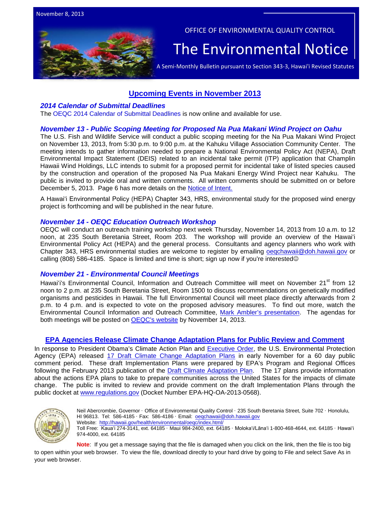

OFFICE OF ENVIRONMENTAL QUALITY CONTROL

# The Environmental Notice  $|$ <br>A Semi-Monthly Bulletin pursuant to Section 343-3, Hawai'i Revised Statutes

# **Upcoming Events in November 2013**

#### *[2014 Calendar of Submittal Deadlines](http://oeqc.doh.hawaii.gov/Shared%20Documents/Preparation_of_Hawaii_Environmental_Policy_Act_Documents/2014%20OEQC%20CALENDAR%20OF%20SUBMITTAL%20DEADLINES.pdf)*

The [OEQC 2014 Calendar of Submittal Deadlines](http://oeqc.doh.hawaii.gov/Shared%20Documents/Preparation_of_Hawaii_Environmental_Policy_Act_Documents/2014%20OEQC%20CALENDAR%20OF%20SUBMITTAL%20DEADLINES.pdf) is now online and available for use.

#### *November 13 - [Public Scoping Meeting for Proposed Na Pua Makani Wind Project on Oahu](http://www.gpo.gov/fdsys/pkg/FR-2013-11-05/pdf/2013-26465.pdf)*

The U.S. Fish and Wildlife Service will conduct a public scoping meeting for the Na Pua Makani Wind Project on November 13, 2013, from 5:30 p.m. to 9:00 p.m. at the Kahuku Village Association Community Center. The meeting intends to gather information needed to prepare a National Environmental Policy Act (NEPA), Draft Environmental Impact Statement (DEIS) related to an incidental take permit (ITP) application that Champlin Hawaii Wind Holdings, LLC intends to submit for a proposed permit for incidental take of listed species caused by the construction and operation of the proposed Na Pua Makani Energy Wind Project near Kahuku. The public is invited to provide oral and written comments. All written comments should be submitted on or before December 5, 2013. Page 6 has more details on the [Notice of Intent.](http://www.gpo.gov/fdsys/pkg/FR-2013-11-05/pdf/2013-26465.pdf)

A Hawaiʻi Environmental Policy (HEPA) Chapter 343, HRS, environmental study for the proposed wind energy project is forthcoming and will be published in the near future.

#### *November 14 - OEQC Education Outreach Workshop*

OEQC will conduct an outreach training workshop next week Thursday, November 14, 2013 from 10 a.m. to 12 noon, at 235 South Beretania Street, Room 203. The workshop will provide an overview of the Hawaiʻi Environmental Policy Act (HEPA) and the general process. Consultants and agency planners who work with Chapter 343, HRS environmental studies are welcome to register by emailing [oeqchawaii@doh.hawaii.gov](mailto:oeqchawaii@doh.hawaii.gov) or calling (808) 586-4185. Space is limited and time is short; sign up now if you're interested ©

#### *November 21 - Environmental Council Meetings*

Hawai'i's Environmental Council, Information and Outreach Committee will meet on November 21<sup>st</sup> from 12 noon to 2 p.m. at 235 South Beretania Street, Room 1500 to discuss recommendations on genetically modified organisms and pesticides in Hawaii. The full Environmental Council will meet place directly afterwards from 2 p.m. to 4 p.m. and is expected to vote on the proposed advisory measures. To find out more, watch the [Environmental Council Information and Outreach Committee, Mark Ambler's presentation.](https://www.youtube.com/watch?v=H0Q6wltTbWQ) The agendas for both meetings will be posted on [OEQC's website](http://health.hawaii.gov/oeqc/) by November 14, 2013.

## **[EPA Agencies Release Climate Change Adaptation Plans for Public Review and Comment](http://epa.gov/climatechange/impacts-adaptation/fed-programs/EPA-impl-plans.html)**

In response to President Obama's Climate Action Plan and [Executive Order,](http://www.whitehouse.gov/assets/documents/2009fedleader_eo_rel.pdf) the U.S. Environmental Protection Agency (EPA) released [17 Draft Climate Change Adaptation Plans](http://epa.gov/climatechange/impacts-adaptation/fed-programs/EPA-impl-plans.html) in early November for a 60 day public comment period. These draft Implementation Plans were prepared by EPA's Program and Regional Offices following the February 2013 publication of the **Draft Climate Adaptation Plan.** The 17 plans provide information about the actions EPA plans to take to prepare communities across the United States for the impacts of climate change. The public is invited to review and provide comment on the draft Implementation Plans through the public docket at [www.regulations.gov](http://www.regulations.gov/) (Docket Number EPA-HQ-OA-2013-0568).



Neil Abercrombie, Governor · Office of Environmental Quality Control · 235 South Beretania Street, Suite 702 · Honolulu, HI 96813. Tel: 586-4185 · Fax: 586-4186 · Email: oegchawaii@doh.hawaii.gov Website:<http://hawaii.gov/health/environmental/oeqc/index.html/> Toll Free: Kauaʻi 274-3141, ext. 64185 · Maui 984-2400, ext. 64185 · Molokaʻi/Lānaʻi 1-800-468-4644, ext. 64185 · Hawaiʻi

974-4000, ext. 64185

**Note**: If you get a message saying that the file is damaged when you click on the link, then the file is too big to open within your web browser. To view the file, download directly to your hard drive by going to File and select Save As in your web browser.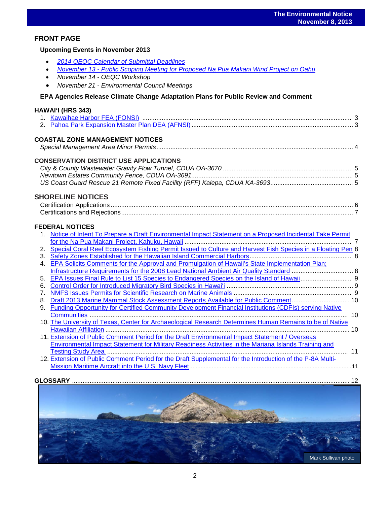Mark Sullivan photo

# **FRONT PAGE**

#### **Upcoming Events in November 2013**

- *2014 OEQC Calendar [of Submittal Deadlines](http://oeqc.doh.hawaii.gov/Shared%20Documents/Preparation_of_Hawaii_Environmental_Policy_Act_Documents/2014%20OEQC%20CALENDAR%20OF%20SUBMITTAL%20DEADLINES.pdf)*
- *November 13 - [Public Scoping Meeting for Proposed Na Pua Makani Wind Project on Oahu](http://www.gpo.gov/fdsys/pkg/FR-2013-11-05/pdf/2013-26465.pdf)*

- *November 14 - OEQC Workshop*
- *November 21 - Environmental Council Meetings*

## **[EPA Agencies Release Climate Change Adaptation Plans for Public Review and Comment](http://epa.gov/climatechange/impacts-adaptation/fed-programs/EPA-impl-plans.html)**

#### **HAWAI'I (HRS 343)**

## **COASTAL ZONE MANAGEMENT NOTICES**

|--|--|--|

## **CONSERVATION DISTRICT USE APPLICATIONS**

# **SHORELINE NOTICES**

## **FEDERAL NOTICES**

| $1_{-}$        | Notice of Intent To Prepare a Draft Environmental Impact Statement on a Proposed Incidental Take Permit      |  |
|----------------|--------------------------------------------------------------------------------------------------------------|--|
|                |                                                                                                              |  |
| 2.             | Special Coral Reef Ecosystem Fishing Permit Issued to Culture and Harvest Fish Species in a Floating Pen 8   |  |
| 3.             |                                                                                                              |  |
| $\mathbf{4}$ . | EPA Solicits Comments for the Approval and Promulgation of Hawaii's State Implementation Plan;               |  |
|                |                                                                                                              |  |
| 5.             |                                                                                                              |  |
| 6.             |                                                                                                              |  |
| 7 <sub>1</sub> |                                                                                                              |  |
| 8.             | Draft 2013 Marine Mammal Stock Assessment Reports Available for Public Comment 10                            |  |
| 9.             | <b>Funding Opportunity for Certified Community Development Financial Institutions (CDFIs) serving Native</b> |  |
|                |                                                                                                              |  |
|                | 10. The University of Texas, Center for Archaeological Research Determines Human Remains to be of Native     |  |
|                |                                                                                                              |  |
|                | 11. Extension of Public Comment Period for the Draft Environmental Impact Statement / Overseas               |  |
|                | Environmental Impact Statement for Military Readiness Activities in the Mariana Islands Training and         |  |
|                |                                                                                                              |  |
|                | 12. Extension of Public Comment Period for the Draft Supplemental for the Introduction of the P-8A Multi-    |  |
|                |                                                                                                              |  |
|                |                                                                                                              |  |
|                |                                                                                                              |  |
|                |                                                                                                              |  |
|                |                                                                                                              |  |
|                |                                                                                                              |  |
|                |                                                                                                              |  |
|                |                                                                                                              |  |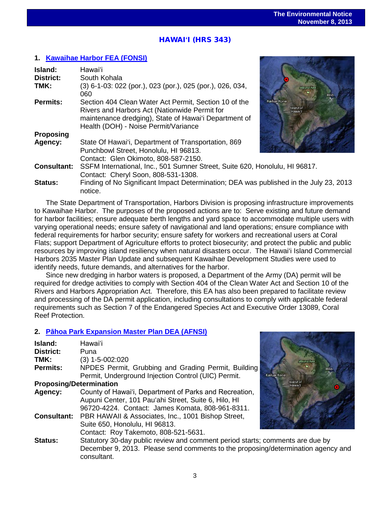# ֖֖֦֧֦֧֦֧֧֧֚֚֚֚֚֚֚֚֚֚֚֚֚֚֚֚֬֡֡֡֡֡֡֡֬֡֡֬֡֡֬֓֡֡֡֬֓֡֓֞֡֞֡֬֓֞֡֬֞֞ HAWAI**ʻ**I (HRS 343)

# **1. [Kawaihae Harbor FEA \(FONSI\)](http://oeqc.doh.hawaii.gov/Shared%20Documents/EA_and_EIS_Online_Library/Hawaii/2010s/2013-11-08-HA-5B-FEA-Kawaihae-Harbor.pdf)**

| Island:            | Hawaiʻi                                                                                                                                                                                                 |                                     |
|--------------------|---------------------------------------------------------------------------------------------------------------------------------------------------------------------------------------------------------|-------------------------------------|
| <b>District:</b>   | South Kohala                                                                                                                                                                                            |                                     |
| TMK:               | (3) 6-1-03: 022 (por.), 023 (por.), 025 (por.), 026, 034,<br>060                                                                                                                                        | Mauna Kea                           |
| Permits:           | Section 404 Clean Water Act Permit, Section 10 of the<br>Rivers and Harbors Act (Nationwide Permit for<br>maintenance dredging), State of Hawai'i Department of<br>Health (DOH) - Noise Permit/Variance | Kailua-Kona<br>Island of<br>Hawai'l |
| <b>Proposing</b>   |                                                                                                                                                                                                         |                                     |
| Agency:            | State Of Hawai'i, Department of Transportation, 869<br>Punchbowl Street, Honolulu, HI 96813.<br>Contact: Glen Okimoto, 808-587-2150.                                                                    |                                     |
| <b>Consultant:</b> | SSFM International, Inc., 501 Sumner Street, Suite 620, Honolulu, HI 96817.                                                                                                                             |                                     |
|                    | Contact: Cheryl Soon, 808-531-1308.                                                                                                                                                                     |                                     |
| <b>Status:</b>     | Finding of No Significant Impact Determination; DEA was published in the July 23, 2013<br>notice                                                                                                        |                                     |

The State Department of Transportation, Harbors Division is proposing infrastructure improvements to Kawaihae Harbor. The purposes of the proposed actions are to: Serve existing and future demand for harbor facilities; ensure adequate berth lengths and yard space to accommodate multiple users with varying operational needs; ensure safety of navigational and land operations; ensure compliance with federal requirements for harbor security; ensure safety for workers and recreational users at Coral Flats; support Department of Agriculture efforts to protect biosecurity; and protect the public and public resources by improving island resiliency when natural disasters occur. The Hawai'i Island Commercial Harbors 2035 Master Plan Update and subsequent Kawaihae Development Studies were used to identify needs, future demands, and alternatives for the harbor.

Since new dredging in harbor waters is proposed, a Department of the Army (DA) permit will be required for dredge activities to comply with Section 404 of the Clean Water Act and Section 10 of the Rivers and Harbors Appropriation Act. Therefore, this EA has also been prepared to facilitate review and processing of the DA permit application, including consultations to comply with applicable federal requirements such as Section 7 of the Endangered Species Act and Executive Order 13089, Coral Reef Protection.

# **2. Pā[hoa Park Expansion Master Plan](http://oeqc.doh.hawaii.gov/Shared%20Documents/EA_and_EIS_Online_Library/Hawaii/2010s/2013-11-08-HA-5B-DEA-Pahoa-Park-Expansion.pdf) DEA (AFNSI)**

| Island:<br><b>District:</b>    | Hawai'i<br>Puna                                                                                                                                                    |          |
|--------------------------------|--------------------------------------------------------------------------------------------------------------------------------------------------------------------|----------|
| TMK:                           | $(3)$ 1-5-002:020                                                                                                                                                  |          |
| <b>Permits:</b>                | NPDES Permit, Grubbing and Grading Permit, Building<br>Permit, Underground Injection Control (UIC) Permit.                                                         | Kailua-k |
| <b>Proposing/Determination</b> |                                                                                                                                                                    |          |
| Agency:                        | County of Hawai'i, Department of Parks and Recreation,<br>Aupuni Center, 101 Pau'ahi Street, Suite 6, Hilo, HI<br>96720-4224. Contact: James Komata, 808-961-8311. |          |
| <b>Consultant:</b>             | PBR HAWAII & Associates, Inc., 1001 Bishop Street,<br>Suite 650, Honolulu, HI 96813.<br>Contact: Roy Takemoto, 808-521-5631.                                       |          |
| <b>Status:</b>                 | Statutory 30-day public review and comment period starts; comr<br>December 9, 2013. Please send comments to the proposing/de                                       |          |



nents are due by termination agency and consultant.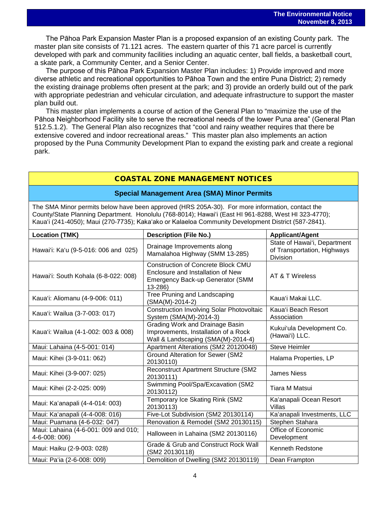The Pāhoa Park Expansion Master Plan is a proposed expansion of an existing County park. The master plan site consists of 71.121 acres. The eastern quarter of this 71 acre parcel is currently developed with park and community facilities including an aquatic center, ball fields, a basketball court, a skate park, a Community Center, and a Senior Center.

The purpose of this Pāhoa Park Expansion Master Plan includes: 1) Provide improved and more diverse athletic and recreational opportunities to Pāhoa Town and the entire Puna District; 2) remedy the existing drainage problems often present at the park; and 3) provide an orderly build out of the park with appropriate pedestrian and vehicular circulation, and adequate infrastructure to support the master plan build out.

This master plan implements a course of action of the General Plan to "maximize the use of the Pāhoa Neighborhood Facility site to serve the recreational needs of the lower Puna area" (General Plan §12.5.1.2). The General Plan also recognizes that "cool and rainy weather requires that there be extensive covered and indoor recreational areas." This master plan also implements an action proposed by the Puna Community Development Plan to expand the existing park and create a regional park.

# COASTAL ZONE MANAGEMENT NOTICES

## **Special Management Area (SMA) Minor Permits**

The SMA Minor permits below have been approved (HRS 205A-30). For more information, contact the County/State Planning Department. Honolulu (768-8014); Hawaiʻi (East HI 961-8288, West HI 323-4770); Kauaʻi (241-4050); Maui (270-7735); Kakaʻako or Kalaeloa Community Development District (587-2841).

| <b>Location (TMK)</b>                                        | <b>Description (File No.)</b>                                                                                                        | <b>Applicant/Agent</b>                                                         |  |
|--------------------------------------------------------------|--------------------------------------------------------------------------------------------------------------------------------------|--------------------------------------------------------------------------------|--|
| Hawai'i: Ka'u (9-5-016: 006 and 025)                         | Drainage Improvements along<br>Mamalahoa Highway (SMM 13-285)                                                                        | State of Hawai'i, Department<br>of Transportation, Highways<br><b>Division</b> |  |
| Hawai'i: South Kohala (6-8-022: 008)                         | <b>Construction of Concrete Block CMU</b><br>Enclosure and Installation of New<br><b>Emergency Back-up Generator (SMM</b><br>13-286) | AT & T Wireless                                                                |  |
| Kaua'i: Aliomanu (4-9-006: 011)                              | Tree Pruning and Landscaping<br>(SMA(M)-2014-2)                                                                                      | Kaua'i Makai LLC.                                                              |  |
| Kaua'i: Wailua (3-7-003: 017)                                | <b>Construction Involving Solar Photovoltaic</b><br>System (SMA(M)-2014-3)                                                           | Kaua'i Beach Resort<br>Association                                             |  |
| Kaua'i: Wailua (4-1-002: 003 & 008)                          | Grading Work and Drainage Basin<br>Improvements, Installation of a Rock<br>Wall & Landscaping (SMA(M)-2014-4)                        | Kukui'ula Development Co.<br>(Hawai'i) LLC.                                    |  |
| Maui: Lahaina (4-5-001: 014)                                 | Apartment Alterations (SM2 20120048)                                                                                                 | <b>Steve Heimler</b>                                                           |  |
| Maui: Kihei (3-9-011: 062)                                   | <b>Ground Alteration for Sewer (SM2</b><br>20130110)                                                                                 | Halama Properties, LP                                                          |  |
| Maui: Kihei (3-9-007: 025)                                   | Reconstruct Apartment Structure (SM2<br>20130111)                                                                                    | <b>James Niess</b>                                                             |  |
| Maui: Kihei (2-2-025: 009)                                   | Swimming Pool/Spa/Excavation (SM2<br>20130112)                                                                                       | <b>Tiara M Matsui</b>                                                          |  |
| Maui: Ka'anapali (4-4-014: 003)                              | Temporary Ice Skating Rink (SM2<br>20130113)                                                                                         | Ka'anapali Ocean Resort<br>Villas                                              |  |
| Maui: Ka'anapali (4-4-008: 016)                              | Five-Lot Subdivision (SM2 20130114)                                                                                                  | Ka'anapali Investments, LLC                                                    |  |
| Maui: Puamana (4-6-032: 047)                                 | Renovation & Remodel (SM2 20130115)                                                                                                  | Stephen Stahara                                                                |  |
| Maui: Lahaina (4-6-001: 009 and 010;<br>$4 - 6 - 008$ : 006) | Halloween in Lahaina (SM2 20130116)                                                                                                  | Office of Economic<br>Development                                              |  |
| Maui: Haiku (2-9-003: 028)                                   | Grade & Grub and Construct Rock Wall<br>(SM2 20130118)                                                                               | Kenneth Redstone                                                               |  |
| Maui: Pa'ia (2-6-008: 009)                                   | Demolition of Dwelling (SM2 20130119)                                                                                                | Dean Frampton                                                                  |  |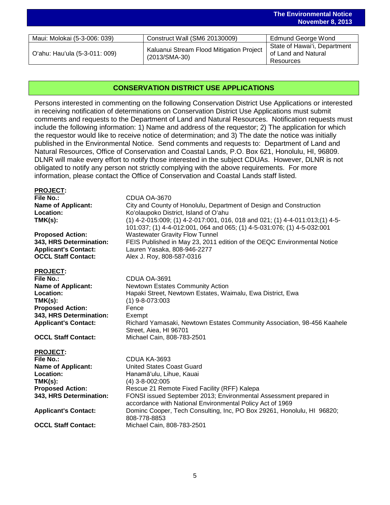|                               |                                                           | <b>November 8, 2013</b>      |
|-------------------------------|-----------------------------------------------------------|------------------------------|
|                               |                                                           |                              |
| Maui: Molokai (5-3-006: 039)  | Construct Wall (SM6 20130009)                             | <b>Edmund George Wond</b>    |
|                               | Kaluanui Stream Flood Mitigation Project<br>(2013/SMA-30) | State of Hawai'i, Department |
| O'ahu: Hau'ula (5-3-011: 009) |                                                           | of Land and Natural          |
|                               |                                                           | Resources                    |

**The Environmental Notice**

# **CONSERVATION DISTRICT USE APPLICATIONS**

Persons interested in commenting on the following Conservation District Use Applications or interested in receiving notification of determinations on Conservation District Use Applications must submit comments and requests to the Department of Land and Natural Resources. Notification requests must include the following information: 1) Name and address of the requestor; 2) The application for which the requestor would like to receive notice of determination; and 3) The date the notice was initially published in the Environmental Notice. Send comments and requests to: Department of Land and Natural Resources, Office of Conservation and Coastal Lands, P.O. Box 621, Honolulu, HI, 96809. DLNR will make every effort to notify those interested in the subject CDUAs. However, DLNR is not obligated to notify any person not strictly complying with the above requirements. For more information, please contact the Office of Conservation and Coastal Lands staff listed.

#### **PROJECT:**

| <b>File No.:</b>                                        | CDUA OA-3670                                                                    |
|---------------------------------------------------------|---------------------------------------------------------------------------------|
| <b>Name of Applicant:</b>                               | City and County of Honolulu, Department of Design and Construction              |
| Location:                                               | Ko'olaupoko District, Island of O'ahu                                           |
| TMK(s):                                                 | $(1)$ 4-2-015:009; (1) 4-2-017:001, 016, 018 and 021; (1) 4-4-011:013; (1) 4-5- |
|                                                         | 101:037; (1) 4-4-012:001, 064 and 065; (1) 4-5-031:076; (1) 4-5-032:001         |
| <b>Proposed Action:</b>                                 | <b>Wastewater Gravity Flow Tunnel</b>                                           |
| $\sim$ $\sim$ $\sim$ $\sim$ $\sim$ $\sim$ $\sim$ $\sim$ |                                                                                 |

**OCCL Staff Contact:** Alex J. Roy, 808-587-0316

**343, HRS Determination:** FEIS Published in May 23, 2011 edition of the OEQC Environmental Notice **Applicant's Contact:** Lauren Yasaka, 808-946-2277

#### **PROJECT:**

| File No.:                   | CDUA OA-3691                                                            |
|-----------------------------|-------------------------------------------------------------------------|
| <b>Name of Applicant:</b>   | <b>Newtown Estates Community Action</b>                                 |
| <b>Location:</b>            | Hapaki Street, Newtown Estates, Waimalu, Ewa District, Ewa              |
| TMK(s):                     | $(1)$ 9-8-073:003                                                       |
| <b>Proposed Action:</b>     | Fence                                                                   |
| 343, HRS Determination:     | Exempt                                                                  |
| <b>Applicant's Contact:</b> | Richard Yamasaki, Newtown Estates Community Association, 98-456 Kaahele |
|                             | Street, Aiea, HI 96701                                                  |
| <b>OCCL Staff Contact:</b>  | Michael Cain, 808-783-2501                                              |

**PROJECT: File No.:** CDUA KA-3693<br> **Name of Applicant:** United States Co **United States Coast Guard** Location: Hanamāʻulu, Lihue, Kauai **TMK(s):** (4) 3-8-002:005<br>**Proposed Action:** Rescue 21 Rem Rescue 21 Remote Fixed Facility (RFF) Kalepa **343, HRS Determination:** FONSI issued September 2013; Environmental Assessment prepared in accordance with National Environmental Policy Act of 1969 **Applicant's Contact:** Dominc Cooper, Tech Consulting, Inc, PO Box 29261, Honolulu, HI 96820; 808-778-8853 **OCCL Staff Contact:** Michael Cain, 808-783-2501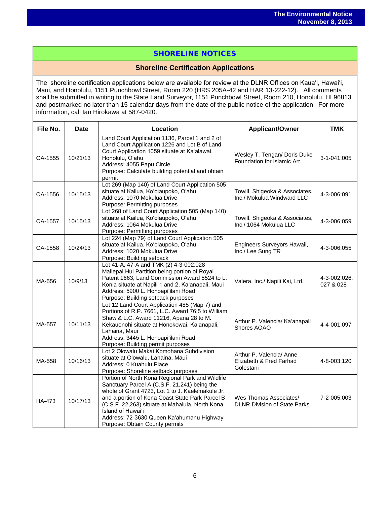# SHORELINE NOTICES

# **Shoreline Certification Applications**

The shoreline certification applications below are available for review at the DLNR Offices on Kauaʻi, Hawaiʻi, Maui, and Honolulu, 1151 Punchbowl Street, Room 220 (HRS 205A-42 and HAR 13-222-12). All comments shall be submitted in writing to the State Land Surveyor, 1151 Punchbowl Street, Room 210, Honolulu, HI 96813 and postmarked no later than 15 calendar days from the date of the public notice of the application. For more information, call Ian Hirokawa at 587-0420.

| File No. | Location<br>Date |                                                                                                                                                                                                                                                                                                                                                                 | <b>Applicant/Owner</b>                                           | <b>TMK</b>                |
|----------|------------------|-----------------------------------------------------------------------------------------------------------------------------------------------------------------------------------------------------------------------------------------------------------------------------------------------------------------------------------------------------------------|------------------------------------------------------------------|---------------------------|
| OA-1555  | 10/21/13         | Land Court Application 1136, Parcel 1 and 2 of<br>Land Court Application 1226 and Lot B of Land<br>Court Application 1059 situate at Ka'alawai,<br>Honolulu, O'ahu<br>Address: 4055 Papu Circle<br>Purpose: Calculate building potential and obtain<br>permit                                                                                                   | Wesley T. Tengan/ Doris Duke<br>Foundation for Islamic Art       | 3-1-041:005               |
| OA-1556  | 10/15/13         | Lot 269 (Map 140) of Land Court Application 505<br>situate at Kailua, Ko'olaupoko, O'ahu<br>Address: 1070 Mokulua Drive<br>Purpose: Permitting purposes                                                                                                                                                                                                         | Towill, Shigeoka & Associates,<br>Inc./ Mokulua Windward LLC     | 4-3-006:091               |
| OA-1557  | 10/15/13         | Lot 268 of Land Court Application 505 (Map 140)<br>situate at Kailua, Ko'olaupoko, O'ahu<br>Address: 1064 Mokulua Drive<br>Purpose: Permitting purposes                                                                                                                                                                                                         | Towill, Shigeoka & Associates,<br>Inc./ 1064 Mokulua LLC         | 4-3-006:059               |
| OA-1558  | 10/24/13         | Lot 224 (Map 79) of Land Court Application 505<br>situate at Kailua, Ko'olaupoko, O'ahu<br>Address: 1020 Mokulua Drive<br>Purpose: Building setback                                                                                                                                                                                                             | Engineers Surveyors Hawaii,<br>Inc./ Lee Sung TR                 | 4-3-006:055               |
| MA-556   | 10/9/13          | Lot 41-A, 47-A and TMK (2) 4-3-002:028<br>Mailepai Hui Partition being portion of Royal<br>Patent 1663, Land Commission Award 5524 to L.<br>Konia situate at Napili 1 and 2, Ka'anapali, Maui<br>Address: 5900 L. Honoapi'ilani Road<br>Purpose: Building setback purposes                                                                                      | Valera, Inc./ Napili Kai, Ltd.                                   | 4-3-002:026,<br>027 & 028 |
| MA-557   | 10/11/13         | Lot 12 Land Court Application 485 (Map 7) and<br>Portions of R.P. 7661, L.C. Award 76:5 to William<br>Shaw & L.C. Award 11216, Apana 28 to M.<br>Kekauonohi situate at Honokowai, Ka'anapali,<br>Lahaina, Maui<br>Address: 3445 L. Honoapi'ilani Road<br>Purpose: Building permit purposes                                                                      | Arthur P. Valencia/ Ka'anapali<br>Shores AOAO                    | 4-4-001:097               |
| MA-558   | 10/16/13         | Lot 2 Olowalu Makai Komohana Subdivision<br>situate at Olowalu, Lahaina, Maui<br>Address: 0 Kuahulu Place<br>Purpose: Shoreline setback purposes                                                                                                                                                                                                                | Arthur P. Valencia/ Anne<br>Elizabeth & Fred Farhad<br>Golestani | 4-8-003:120               |
| HA-473   | 10/17/13         | Portion of North Kona Regional Park and Wildlife<br>Sanctuary Parcel A (C.S.F. 21,241) being the<br>whole of Grant 4723, Lot 1 to J. Kaelemakule Jr.<br>and a portion of Kona Coast State Park Parcel B<br>(C.S.F. 22,263) situate at Mahaiula, North Kona,<br>Island of Hawai'i<br>Address: 72-3630 Queen Ka'ahumanu Highway<br>Purpose: Obtain County permits | Wes Thomas Associates/<br><b>DLNR Division of State Parks</b>    | 7-2-005:003               |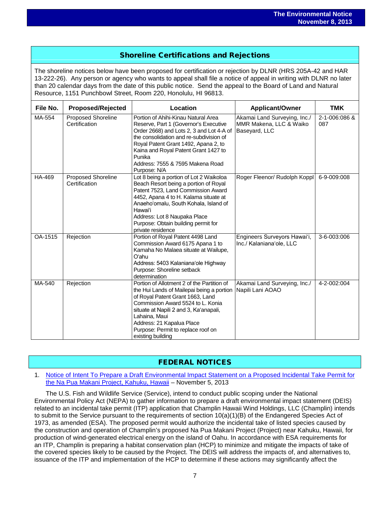# Shoreline Certifications and Rejections

The shoreline notices below have been proposed for certification or rejection by DLNR (HRS 205A-42 and HAR 13-222-26). Any person or agency who wants to appeal shall file a notice of appeal in writing with DLNR no later than 20 calendar days from the date of this public notice. Send the appeal to the Board of Land and Natural Resource, 1151 Punchbowl Street, Room 220, Honolulu, HI 96813.

| File No. | <b>Proposed/Rejected</b>                   | Location                                                                                                                                                                                                                                                                                                            | <b>Applicant/Owner</b>                                                   | <b>TMK</b>           |
|----------|--------------------------------------------|---------------------------------------------------------------------------------------------------------------------------------------------------------------------------------------------------------------------------------------------------------------------------------------------------------------------|--------------------------------------------------------------------------|----------------------|
| MA-554   | <b>Proposed Shoreline</b><br>Certification | Portion of Ahihi-Kinau Natural Area<br>Reserve, Part 1 (Governor's Executive<br>Order 2668) and Lots 2, 3 and Lot 4-A of<br>the consolidation and re-subdivision of<br>Royal Patent Grant 1492, Apana 2, to<br>Kaina and Royal Patent Grant 1427 to<br>Punika<br>Address: 7555 & 7595 Makena Road<br>Purpose: N/A   | Akamai Land Surveying, Inc./<br>MMR Makena, LLC & Waiko<br>Baseyard, LLC | 2-1-006:086 &<br>087 |
| HA-469   | Proposed Shoreline<br>Certification        | Lot 8 being a portion of Lot 2 Waikoloa<br>Beach Resort being a portion of Royal<br>Patent 7523, Land Commission Award<br>4452, Apana 4 to H. Kalama situate at<br>Anaeho'omalu, South Kohala, Island of<br>Hawai'i<br>Address: Lot 8 Naupaka Place<br>Purpose: Obtain building permit for<br>private residence     | Roger Fleenor/ Rudolph Koppl                                             | 6-9-009:008          |
| OA-1515  | Rejection                                  | Portion of Royal Patent 4498 Land<br>Commission Award 6175 Apana 1 to<br>Kamaha No Malaea situate at Wailupe,<br>Oʻahu<br>Address: 5403 Kalaniana'ole Highway<br>Purpose: Shoreline setback<br>determination                                                                                                        | Engineers Surveyors Hawai'i,<br>Inc./ Kalaniana'ole, LLC                 | 3-6-003:006          |
| MA-540   | Rejection                                  | Portion of Allotment 2 of the Partition of<br>the Hui Lands of Mailepai being a portion<br>of Royal Patent Grant 1663, Land<br>Commission Award 5524 to L. Konia<br>situate at Napili 2 and 3, Ka'anapali,<br>Lahaina, Maui<br>Address: 21 Kapalua Place<br>Purpose: Permit to replace roof on<br>existing building | Akamai Land Surveying, Inc./<br>Napili Lani AOAO                         | 4-2-002:004          |

# FEDERAL NOTICES

1. [Notice of Intent To Prepare a Draft Environmental Impact Statement on a Proposed Incidental Take Permit for](http://www.gpo.gov/fdsys/pkg/FR-2013-11-05/pdf/2013-26465.pdf)  [the Na Pua Makani Project, Kahuku, Hawaii](http://www.gpo.gov/fdsys/pkg/FR-2013-11-05/pdf/2013-26465.pdf) – November 5, 2013

The U.S. Fish and Wildlife Service (Service), intend to conduct public scoping under the National Environmental Policy Act (NEPA) to gather information to prepare a draft environmental impact statement (DEIS) related to an incidental take permit (ITP) application that Champlin Hawaii Wind Holdings, LLC (Champlin) intends to submit to the Service pursuant to the requirements of section 10(a)(1)(B) of the Endangered Species Act of 1973, as amended (ESA). The proposed permit would authorize the incidental take of listed species caused by the construction and operation of Champlin's proposed Na Pua Makani Project (Project) near Kahuku, Hawaii, for production of wind-generated electrical energy on the island of Oahu. In accordance with ESA requirements for an ITP, Champlin is preparing a habitat conservation plan (HCP) to minimize and mitigate the impacts of take of the covered species likely to be caused by the Project. The DEIS will address the impacts of, and alternatives to, issuance of the ITP and implementation of the HCP to determine if these actions may significantly affect the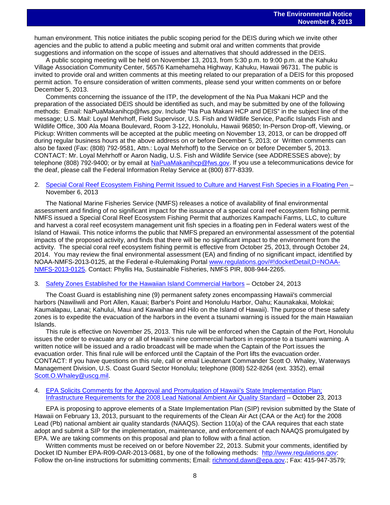human environment. This notice initiates the public scoping period for the DEIS during which we invite other agencies and the public to attend a public meeting and submit oral and written comments that provide suggestions and information on the scope of issues and alternatives that should addressed in the DEIS.

A public scoping meeting will be held on November 13, 2013, from 5:30 p.m. to 9:00 p.m. at the Kahuku Village Association Community Center, 56576 Kamehameha Highway, Kahuku, Hawaii 96731. The public is invited to provide oral and written comments at this meeting related to our preparation of a DEIS for this proposed permit action. To ensure consideration of written comments, please send your written comments on or before December 5, 2013.

Comments concerning the issuance of the ITP, the development of the Na Pua Makani HCP and the preparation of the associated DEIS should be identified as such, and may be submitted by one of the following methods: Email: NaPuaMakanihcp@fws.gov. Include "Na Pua Makani HCP and DEIS" in the subject line of the message; U.S. Mail: Loyal Mehrhoff, Field Supervisor, U.S. Fish and Wildlife Service, Pacific Islands Fish and Wildlife Office, 300 Ala Moana Boulevard, Room 3-122, Honolulu, Hawaii 96850; In-Person Drop-off, Viewing, or Pickup: Written comments will be accepted at the public meeting on November 13, 2013, or can be dropped off during regular business hours at the above address on or before December 5, 2013; or Written comments can also be faxed (Fax: (808) 792-9581, Attn.: Loyal Mehrhoff) to the Service on or before December 5, 2013. CONTACT: Mr. Loyal Mehrhoff or Aaron Nadig, U.S. Fish and Wildlife Service (see ADDRESSES above); by telephone (808) 792-9400; or by email at [NaPuaMakanihcp@fws.gov.](mailto:NaPuaMakanihcp@fws.gov) If you use a telecommunications device for the deaf, please call the Federal Information Relay Service at (800) 877-8339.

#### 2. [Special Coral Reef Ecosystem Fishing Permit Issued to Culture and Harvest Fish Species in a Floating Pen](http://www.gpo.gov/fdsys/pkg/FR-2013-11-06/pdf/2013-26599.pdf) – November 6, 2013

The National Marine Fisheries Service (NMFS) releases a notice of availability of final environmental assessment and finding of no significant impact for the issuance of a special coral reef ecosystem fishing permit. NMFS issued a Special Coral Reef Ecosystem Fishing Permit that authorizes Kampachi Farms, LLC, to culture and harvest a coral reef ecosystem management unit fish species in a floating pen in Federal waters west of the Island of Hawaii. This notice informs the public that NMFS prepared an environmental assessment of the potential impacts of the proposed activity, and finds that there will be no significant impact to the environment from the activity. The special coral reef ecosystem fishing permit is effective from October 25, 2013, through October 24, 2014. You may review the final environmental assessment (EA) and finding of no significant impact, identified by NOAA-NMFS-2013-0125, at the Federal e-Rulemaking Portal [www.regulations.gov/#!docketDetail;D=NOAA-](http://www.regulations.gov/#!docketDetail;D=NOAA-NMFS-2013-0125)[NMFS-2013-0125.](http://www.regulations.gov/#!docketDetail;D=NOAA-NMFS-2013-0125) Contact: Phyllis Ha, Sustainable Fisheries, NMFS PIR, 808-944-2265.

# 3. [Safety Zones Established for the Hawaiian Island Commercial Harbors](http://www.gpo.gov/fdsys/pkg/FR-2013-10-24/pdf/2013-24904.pdf) - October 24, 2013

The Coast Guard is establishing nine (9) permanent safety zones encompassing Hawaii's commercial harbors (Nawiliwili and Port Allen, Kauai; Barber's Point and Honolulu Harbor, Oahu; Kaunakakai, Molokai; Kaumalapau, Lanai; Kahului, Maui and Kawaihae and Hilo on the Island of Hawaii). The purpose of these safety zones is to expedite the evacuation of the harbors in the event a tsunami warning is issued for the main Hawaiian Islands.

This rule is effective on November 25, 2013. This rule will be enforced when the Captain of the Port, Honolulu issues the order to evacuate any or all of Hawaii's nine commercial harbors in response to a tsunami warning. A written notice will be issued and a radio broadcast will be made when the Captain of the Port issues the evacuation order. This final rule will be enforced until the Captain of the Port lifts the evacuation order. CONTACT: If you have questions on this rule, call or email Lieutenant Commander Scott O. Whaley, Waterways Management Division, U.S. Coast Guard Sector Honolulu; telephone (808) 522-8264 (ext. 3352), email Scott.O.Whaley@uscq.mil.

#### 4. [EPA Solicits Comments for the Approval and Promulgation of Hawaii's State Implementation Plan;](http://www.gpo.gov/fdsys/pkg/FR-2013-10-23/pdf/2013-24885.pdf)  [Infrastructure Requirements for the 2008 Lead National Ambient Air Quality Standard](http://www.gpo.gov/fdsys/pkg/FR-2013-10-23/pdf/2013-24885.pdf) – October 23, 2013

EPA is proposing to approve elements of a State Implementation Plan (SIP) revision submitted by the State of Hawaii on February 13, 2013, pursuant to the requirements of the Clean Air Act (CAA or the Act) for the 2008 Lead (Pb) national ambient air quality standards (NAAQS). Section 110(a) of the CAA requires that each state adopt and submit a SIP for the implementation, maintenance, and enforcement of each NAAQS promulgated by EPA. We are taking comments on this proposal and plan to follow with a final action.

Written comments must be received on or before November 22, 2013. Submit your comments, identified by Docket ID Number EPA-R09-OAR-2013-0681, by one of the following methods: [http://www.regulations.gov:](http://www.regulations.gov/) Follow the on-line instructions for submitting comments; Email: [richmond.dawn@epa.gov.](mailto:richmond.dawn@epa.gov); Fax: 415-947-3579;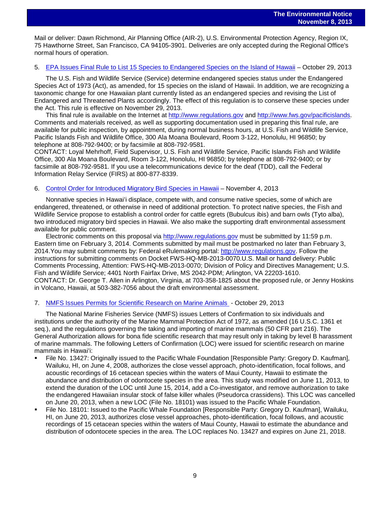Mail or deliver: Dawn Richmond, Air Planning Office (AIR-2), U.S. Environmental Protection Agency, Region IX, 75 Hawthorne Street, San Francisco, CA 94105-3901. Deliveries are only accepted during the Regional Office's normal hours of operation.

#### 5. [EPA Issues Final Rule to List 15 Species to Endangered Species on the Island of Hawaii](http://www.gpo.gov/fdsys/pkg/FR-2013-10-29/pdf/2013-24103.pdf) – October 29, 2013

The U.S. Fish and Wildlife Service (Service) determine endangered species status under the Endangered Species Act of 1973 (Act), as amended, for 15 species on the island of Hawaii. In addition, we are recognizing a taxonomic change for one Hawaiian plant currently listed as an endangered species and revising the List of Endangered and Threatened Plants accordingly. The effect of this regulation is to conserve these species under the Act. This rule is effective on November 29, 2013.

This final rule is available on the Internet at [http://www.regulations.gov](http://www.regulations.gov/) and [http://www.fws.gov/pacificislands.](http://www.fws.gov/pacificislands) Comments and materials received, as well as supporting documentation used in preparing this final rule, are available for public inspection, by appointment, during normal business hours, at U.S. Fish and Wildlife Service, Pacific Islands Fish and Wildlife Office, 300 Ala Moana Boulevard, Room 3-122, Honolulu, HI 96850; by telephone at 808-792-9400; or by facsimile at 808-792-9581.

CONTACT: Loyal Mehrhoff, Field Supervisor, U.S. Fish and Wildlife Service, Pacific Islands Fish and Wildlife Office, 300 Ala Moana Boulevard, Room 3-122, Honolulu, HI 96850; by telephone at 808-792-9400; or by facsimile at 808-792-9581. If you use a telecommunications device for the deaf (TDD), call the Federal Information Relay Service (FIRS) at 800-877-8339.

#### 6. [Control Order for Introduced Migratory Bird Species](http://www.gpo.gov/fdsys/pkg/FR-2013-11-04/pdf/2013-26071.pdf) in Hawaii – November 4, 2013

Nonnative species in Hawaiʻi displace, compete with, and consume native species, some of which are endangered, threatened, or otherwise in need of additional protection. To protect native species, the Fish and Wildlife Service propose to establish a control order for cattle egrets (Bubulcus ibis) and barn owls (Tyto alba), two introduced migratory bird species in Hawaii. We also make the supporting draft environmental assessment available for public comment.

Electronic comments on this proposal via [http://www.regulations.gov](http://www.regulations.gov/) must be submitted by 11:59 p.m. Eastern time on February 3, 2014. Comments submitted by mail must be postmarked no later than February 3, 2014.You may submit comments by: Federal eRulemaking portal: [http://www.regulations.gov.](http://www.regulations.gov/) Follow the instructions for submitting comments on Docket FWS-HQ-MB-2013-0070.U.S. Mail or hand delivery: Public Comments Processing, Attention: FWS-HQ-MB-2013-0070; Division of Policy and Directives Management; U.S. Fish and Wildlife Service; 4401 North Fairfax Drive, MS 2042-PDM; Arlington, VA 22203-1610. CONTACT: Dr. George T. Allen in Arlington, Virginia, at 703-358-1825 about the proposed rule, or Jenny Hoskins in Volcano, Hawaii, at 503-382-7056 about the draft environmental assessment.

#### 7. [NMFS Issues Permits for Scientific Research on Marine Animals](http://www.gpo.gov/fdsys/pkg/FR-2013-10-29/pdf/2013-25458.pdf) - October 29, 2013

The National Marine Fisheries Service (NMFS) issues Letters of Confirmation to six individuals and institutions under the authority of the Marine Mammal Protection Act of 1972, as amended (16 U.S.C. 1361 et seq.), and the regulations governing the taking and importing of marine mammals (50 CFR part 216). The General Authorization allows for bona fide scientific research that may result only in taking by level B harassment of marine mammals. The following Letters of Confirmation (LOC) were issued for scientific research on marine mammals in Hawaiʻi:

- File No. 13427: Originally issued to the Pacific Whale Foundation [Responsible Party: Gregory D. Kaufman], Wailuku, HI, on June 4, 2008, authorizes the close vessel approach, photo-identification, focal follows, and acoustic recordings of 16 cetacean species within the waters of Maui County, Hawaii to estimate the abundance and distribution of odontocete species in the area. This study was modified on June 11, 2013, to extend the duration of the LOC until June 15, 2014, add a Co-investigator, and remove authorization to take the endangered Hawaiian insular stock of false killer whales (Pseudorca crassidens). This LOC was cancelled on June 20, 2013, when a new LOC (File No. 18101) was issued to the Pacific Whale Foundation.
- File No. 18101: Issued to the Pacific Whale Foundation [Responsible Party: Gregory D. Kaufman], Wailuku, HI, on June 20, 2013, authorizes close vessel approaches, photo-identification, focal follows, and acoustic recordings of 15 cetacean species within the waters of Maui County, Hawaii to estimate the abundance and distribution of odontocete species in the area. The LOC replaces No. 13427 and expires on June 21, 2018.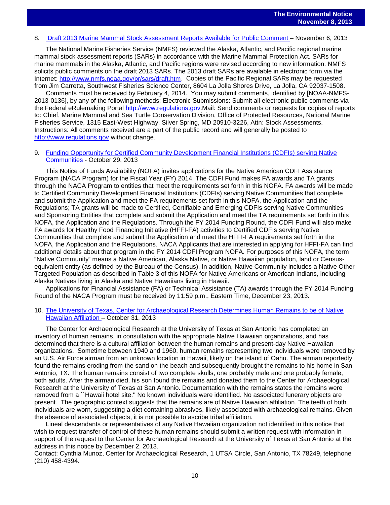# 8. [Draft 2013 Marine Mammal Stock Assessment Reports](http://www.gpo.gov/fdsys/pkg/FR-2013-11-06/pdf/2013-26598.pdf) Available for Public Comment – November 6, 2013

The National Marine Fisheries Service (NMFS) reviewed the Alaska, Atlantic, and Pacific regional marine mammal stock assessment reports (SARs) in accordance with the Marine Mammal Protection Act. SARs for marine mammals in the Alaska, Atlantic, and Pacific regions were revised according to new information. NMFS solicits public comments on the draft 2013 SARs. The 2013 draft SARs are available in electronic form via the Internet: [http://www.nmfs.noaa.gov/pr/sars/draft.htm.](http://www.nmfs.noaa.gov/pr/sars/draft.htm) Copies of the Pacific Regional SARs may be requested from Jim Carretta, Southwest Fisheries Science Center, 8604 La Jolla Shores Drive, La Jolla, CA 92037-1508.

Comments must be received by February 4, 2014. You may submit comments, identified by [NOAA-NMFS-2013-0136], by any of the following methods: Electronic Submissions: Submit all electronic public comments via the Federal eRulemaking Portal [http://www.regulations.gov.](http://www.regulations.gov/)Mail: Send comments or requests for copies of reports to: Chief, Marine Mammal and Sea Turtle Conservation Division, Office of Protected Resources, National Marine Fisheries Service, 1315 East-West Highway, Silver Spring, MD 20910-3226, Attn: Stock Assessments. Instructions: All comments received are a part of the public record and will generally be posted to [http://www.regulations.gov](http://www.regulations.gov/) without change.

#### 9. [Funding Opportunity for Certified Community Development Financial Institutions \(CDFIs\) serving Native](http://www.gpo.gov/fdsys/pkg/FR-2013-10-31/pdf/2013-25949.pdf)  [Communities](http://www.gpo.gov/fdsys/pkg/FR-2013-10-31/pdf/2013-25949.pdf) - October 29, 2013

This Notice of Funds Availability (NOFA) invites applications for the Native American CDFI Assistance Program (NACA Program) for the Fiscal Year (FY) 2014. The CDFI Fund makes FA awards and TA grants through the NACA Program to entities that meet the requirements set forth in this NOFA. FA awards will be made to Certified Community Development Financial Institutions (CDFIs) serving Native Communities that complete and submit the Application and meet the FA requirements set forth in this NOFA, the Application and the Regulations; TA grants will be made to Certified, Certifiable and Emerging CDFIs serving Native Communities and Sponsoring Entities that complete and submit the Application and meet the TA requirements set forth in this NOFA, the Application and the Regulations. Through the FY 2014 Funding Round, the CDFI Fund will also make FA awards for Healthy Food Financing Initiative (HFFI-FA) activities to Certified CDFIs serving Native Communities that complete and submit the Application and meet the HFFI-FA requirements set forth in the NOFA, the Application and the Regulations. NACA Applicants that are interested in applying for HFFI-FA can find additional details about that program in the FY 2014 CDFI Program NOFA. For purposes of this NOFA, the term "Native Community" means a Native American, Alaska Native, or Native Hawaiian population, land or Censusequivalent entity (as defined by the Bureau of the Census). In addition, Native Community includes a Native Other Targeted Population as described in Table 3 of this NOFA for Native Americans or American Indians, including Alaska Natives living in Alaska and Native Hawaiians living in Hawaii.

Applications for Financial Assistance (FA) or Technical Assistance (TA) awards through the FY 2014 Funding Round of the NACA Program must be received by 11:59 p.m., Eastern Time, December 23, 2013.

#### 10. [The University of Texas, Center for Archaeological Research Determines](http://www.gpo.gov/fdsys/pkg/FR-2013-10-31/pdf/2013-25971.pdf) Human Remains to be of Native [Hawaiian Affiliation](http://www.gpo.gov/fdsys/pkg/FR-2013-10-31/pdf/2013-25971.pdf) – October 31, 2013

The Center for Archaeological Research at the University of Texas at San Antonio has completed an inventory of human remains, in consultation with the appropriate Native Hawaiian organizations, and has determined that there is a cultural affiliation between the human remains and present-day Native Hawaiian organizations. Sometime between 1940 and 1960, human remains representing two individuals were removed by an U.S. Air Force airman from an unknown location in Hawaii, likely on the island of Oahu. The airman reportedly found the remains eroding from the sand on the beach and subsequently brought the remains to his home in San Antonio, TX. The human remains consist of two complete skulls, one probably male and one probably female, both adults. After the airman died, his son found the remains and donated them to the Center for Archaeological Research at the University of Texas at San Antonio. Documentation with the remains states the remains were removed from a ``Hawaii hotel site.'' No known individuals were identified. No associated funerary objects are present. The geographic context suggests that the remains are of Native Hawaiian affiliation. The teeth of both individuals are worn, suggesting a diet containing abrasives, likely associated with archaeological remains. Given the absence of associated objects, it is not possible to ascribe tribal affiliation.

Lineal descendants or representatives of any Native Hawaiian organization not identified in this notice that wish to request transfer of control of these human remains should submit a written request with information in support of the request to the Center for Archaeological Research at the University of Texas at San Antonio at the address in this notice by December 2, 2013.

Contact: Cynthia Munoz, Center for Archaeological Research, 1 UTSA Circle, San Antonio, TX 78249, telephone (210) 458-4394.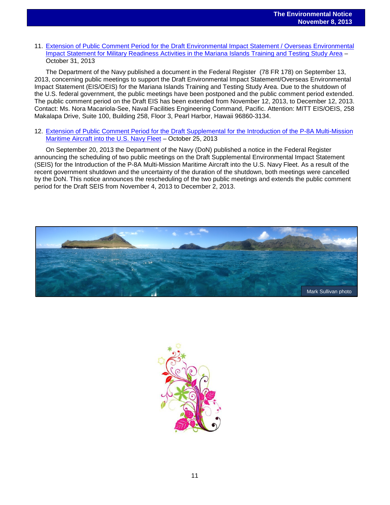#### 11. Extension of [Public Comment Period for the Draft Environmental Impact Statement / Overseas Environmental](http://www.gpo.gov/fdsys/pkg/FR-2013-10-31/pdf/2013-25942.pdf)  [Impact Statement for Military Readiness Activities in the Mariana Islands Training and Testing Study Area](http://www.gpo.gov/fdsys/pkg/FR-2013-10-31/pdf/2013-25942.pdf) – October 31, 2013

The Department of the Navy published a document in the Federal Register (78 FR 178) on September 13, 2013, concerning public meetings to support the Draft Environmental Impact Statement/Overseas Environmental Impact Statement (EIS/OEIS) for the Mariana Islands Training and Testing Study Area. Due to the shutdown of the U.S. federal government, the public meetings have been postponed and the public comment period extended. The public comment period on the Draft EIS has been extended from November 12, 2013, to December 12, 2013. Contact: Ms. Nora Macariola-See, Naval Facilities Engineering Command, Pacific. Attention: MITT EIS/OEIS, 258 Makalapa Drive, Suite 100, Building 258, Floor 3, Pearl Harbor, Hawaii 96860-3134.

#### 12. Extension of [Public Comment Period for the Draft Supplemental for the Introduction of the P-8A Multi-Mission](http://www.gpo.gov/fdsys/pkg/FR-2013-10-25/pdf/2013-25133.pdf)  [Maritime Aircraft into the U.S. Navy Fleet](http://www.gpo.gov/fdsys/pkg/FR-2013-10-25/pdf/2013-25133.pdf) – October 25, 2013

On September 20, 2013 the Department of the Navy (DoN) published a notice in the Federal Register announcing the scheduling of two public meetings on the Draft Supplemental Environmental Impact Statement (SEIS) for the Introduction of the P-8A Multi-Mission Maritime Aircraft into the U.S. Navy Fleet. As a result of the recent government shutdown and the uncertainty of the duration of the shutdown, both meetings were cancelled by the DoN. This notice announces the rescheduling of the two public meetings and extends the public comment period for the Draft SEIS from November 4, 2013 to December 2, 2013.